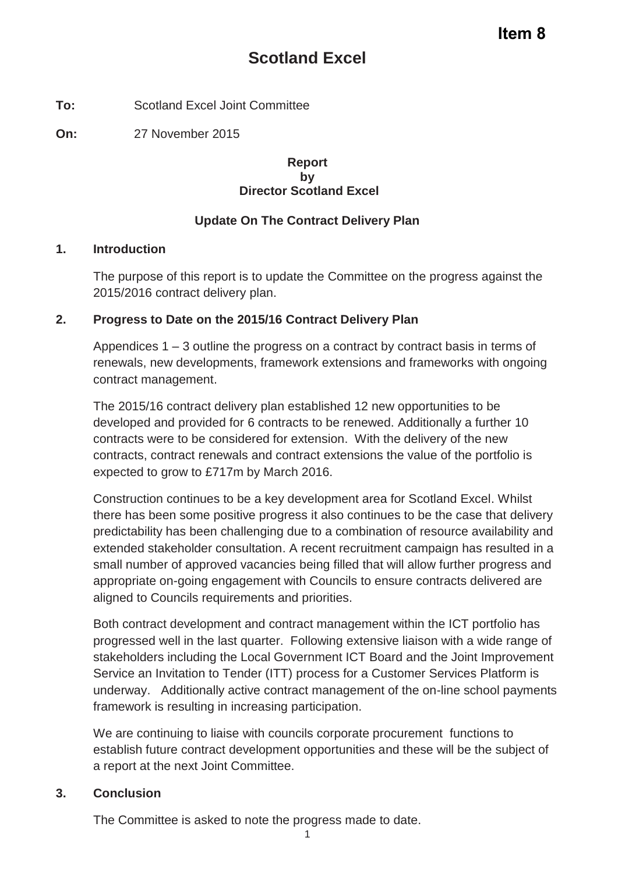**To:** Scotland Excel Joint Committee

**On:** 27 November 2015

### **Report by Director Scotland Excel**

## **Update On The Contract Delivery Plan**

### **1. Introduction**

The purpose of this report is to update the Committee on the progress against the 2015/2016 contract delivery plan.

## **2. Progress to Date on the 2015/16 Contract Delivery Plan**

Appendices 1 – 3 outline the progress on a contract by contract basis in terms of renewals, new developments, framework extensions and frameworks with ongoing contract management.

The 2015/16 contract delivery plan established 12 new opportunities to be developed and provided for 6 contracts to be renewed. Additionally a further 10 contracts were to be considered for extension. With the delivery of the new contracts, contract renewals and contract extensions the value of the portfolio is expected to grow to £717m by March 2016.

Construction continues to be a key development area for Scotland Excel. Whilst there has been some positive progress it also continues to be the case that delivery predictability has been challenging due to a combination of resource availability and extended stakeholder consultation. A recent recruitment campaign has resulted in a small number of approved vacancies being filled that will allow further progress and appropriate on-going engagement with Councils to ensure contracts delivered are aligned to Councils requirements and priorities.

Both contract development and contract management within the ICT portfolio has progressed well in the last quarter. Following extensive liaison with a wide range of stakeholders including the Local Government ICT Board and the Joint Improvement Service an Invitation to Tender (ITT) process for a Customer Services Platform is underway. Additionally active contract management of the on-line school payments framework is resulting in increasing participation.

We are continuing to liaise with councils corporate procurement functions to establish future contract development opportunities and these will be the subject of a report at the next Joint Committee.

## **3. Conclusion**

The Committee is asked to note the progress made to date.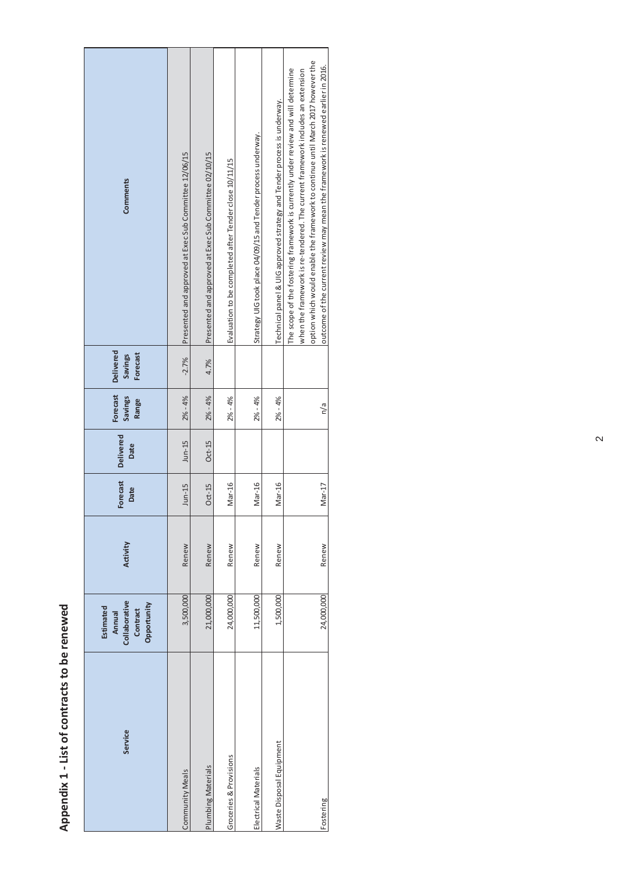# Appendix 1 - List of contracts to be renewed **Appendix 1 - List of contracts to be renewed**

| Service                  | Collaborative<br>Opportunity<br>Estimated<br>Contract<br>Annual | Activity | Forecast<br>Date | <b>Delivered</b><br>Date | Forecast<br>Savings<br>Range | <b>Delivered</b><br>Forecast<br><b>Savings</b> | <b>Comments</b>                                                                                                                                                                                                                                                                                                                             |
|--------------------------|-----------------------------------------------------------------|----------|------------------|--------------------------|------------------------------|------------------------------------------------|---------------------------------------------------------------------------------------------------------------------------------------------------------------------------------------------------------------------------------------------------------------------------------------------------------------------------------------------|
| Community Meals          | 3,500,000                                                       | Renew    | $J$ un-15        | $J$ un-15                | $2% - 4%$                    | $-2.7%$                                        | Presented and approved at Exec Sub Committee 12/06/15                                                                                                                                                                                                                                                                                       |
| Plumbing Materials       | 21,000,000                                                      | Renew    | $Oct-15$         | $Oct-15$                 | $2% - 4%$                    | 4.7%                                           | Presented and approved at Exec Sub Committee 02/10/15                                                                                                                                                                                                                                                                                       |
| Groceries & Provisions   | 24,000,000                                                      | Renew    | Mar-16           |                          | $2% - 4%$                    |                                                | Evaluation to be completed after Tender close 10/11/15                                                                                                                                                                                                                                                                                      |
| Electrical Materials     | 11,500,000                                                      | Renew    | Mar-16           |                          | $2% - 4%$                    |                                                | Strategy UIG took place 04/09/15 and Tender process underway.                                                                                                                                                                                                                                                                               |
| Waste Disposal Equipment | 1,500,000                                                       | Renew    | Mar-16           |                          | $2% - 4%$                    |                                                | Technical panel & UIG approved strategy and Tender process is underway.                                                                                                                                                                                                                                                                     |
| Fostering                | 24,000,000                                                      | Renew    | Mar-17           |                          | n/a                          |                                                | option which would enable the framework to continue until March 2017 however the<br>outcome of the current review may mean the framework is renewed earlier in 2016.<br>The scope of the fostering framework is currently under review and will determine<br>when the framework is re-tendered. The current framework includes an extension |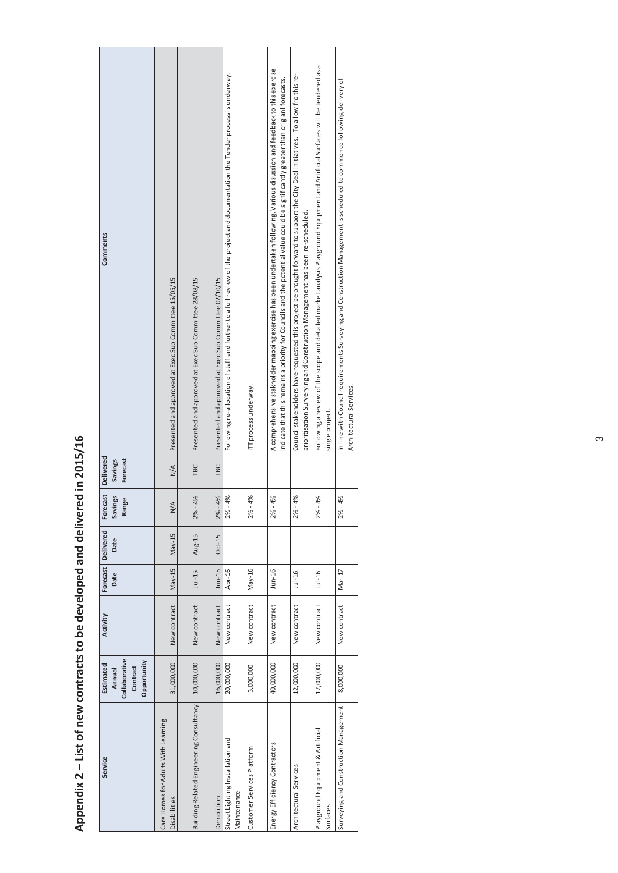| ì                          |
|----------------------------|
|                            |
|                            |
|                            |
|                            |
|                            |
|                            |
|                            |
| ۱                          |
|                            |
|                            |
|                            |
| John Street                |
|                            |
|                            |
|                            |
|                            |
|                            |
|                            |
| ו פרופ רה מר<br>こ クサ シサシサン |
|                            |
|                            |
|                            |
|                            |
| $\frac{1}{2}$              |
|                            |
|                            |
| =<br>5                     |
|                            |
| )<br>i                     |
|                            |
| list of new con-           |
| ļ                          |
|                            |
|                            |
|                            |
|                            |
|                            |